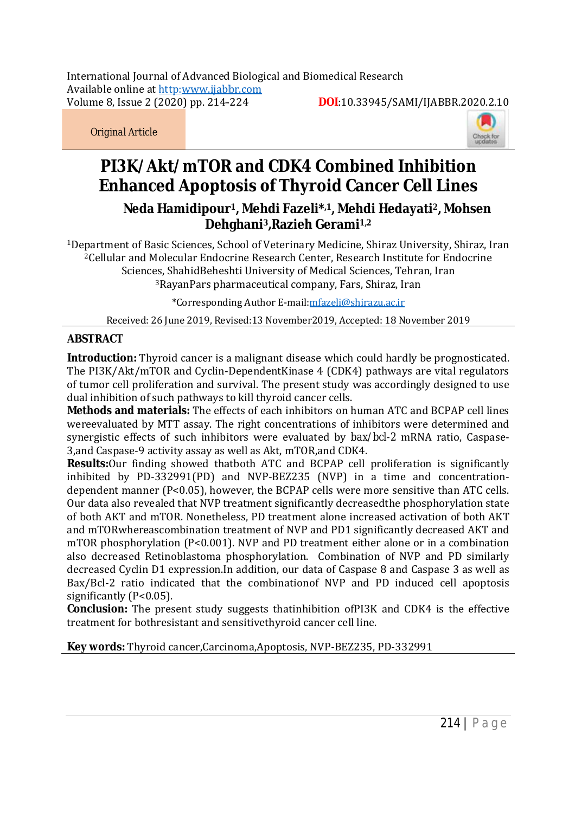International Journal of Advanced Biological and Biomedical Research International Journal of Advanced Biological Biomedical Available online at http[:www.ijabbr.com](http://www.ijabbr.com) Volume 8, Issue 2 (2020) pp. 214-

-224 **DOI**:10.33945/SAMI/IJABBR.2020. 10.33945/SAMI/IJABBR.2020.2.10

*Original Article*



# **PI3K/Akt/mTOR and CDK4 Combined Inhibition PI3K/Akt/mTORandEnhanced Apoptosis of Thyroid Cancer Cell Lines Cancer**

**Neda Hamidipour Neda Hamidipour1, Mehdi Fazeli\*,1, Mehdi Hedayati2, Mohsen Dehghani <sup>3</sup>,Razieh Gerami1,2**

<sup>1</sup>Department of Basic Sciences, School of Veterinary Medicine, Shiraz University, Shiraz, Iran <sup>2</sup>Cellular and Molecular Endocrine Research Center, Research Institute for Endocrine Sciences, ShahidBeheshti University of Medical Sciences, Tehran, Iran <sup>3</sup>RayanPars pharmaceutical company, Fars, Shiraz, Iran <sup>1</sup>Department of Basic Sciences, School of Veterinary Medicine, Shiraz University, Shiraz,<br><sup>2</sup>Cellular and Molecular Endocrine Research Center, Research Institute for Endocrine<br>Sciences, ShahidBeheshti University of Medica

\*Corresponding Author E E-mail[:mfazeli@shirazu.ac.ir](mailto:mfazeli@shirazu.ac.ir)

Received: 26 June 2019, Revised:13 November2019, Accepted: 18 November 2019

# **ABSTRACT**

**Introduction:** Thyroid cancer is a malignant disease which could hardly be prognosticated. The PI3K/Akt/mTOR and Cyclin-DependentKinase 4 (CDK4) pathways are vital regulators The PI3K/Akt/mTOR and Cyclin-DependentKinase 4 (CDK4) pathways are vital regulators<br>of tumor cell proliferation and survival. The present study was accordingly designed to use dual inhibition of such pathways to kill thyroid cancer cells.

**Methods and materials:** The effects of each inhibitors on human ATC and BCPAP cell lines wereevaluated by MTT assay. The right concentrations of inhibitors were determined and synergistic effects of such inhibitors were evaluated by **bax/bcl-2** mRNA ratio, Caspase-3, and Caspase-9 activity assay as well as Akt, mTOR, and CDK4. r**ials:** The effects of each inhibitors on human ATC and BCPAP cell lines<br>TT assay. The right concentrations of inhibitors were determined and<br>f such inhibitors were evaluated by *bax/bcl-2* mRNA ratio, Caspasewereevaluated by MTT assay.

**Results:**Our finding showed thatboth ATC and BCPAP cell proliferation is significantly **Results:**Our finding showed thatboth ATC and BCPAP cell proliferation is significantly<br>inhibited by PD-332991(PD) and NVP-BEZ235 (NVP) in a time and concentrationdependent manner  $(P<0.05)$ , however, the BCPAP cells were more sensitive than ATC cells. dependent manner (P<0.05), however, the BCPAP cells were more sensitive than ATC cells.<br>Our data also revealed that NVP treatment significantly decreasedthe phosphorylation state<br>of both AKT and mTOR. Nonetheless, PD treat of both AKT and mTOR. Nonetheless, PD treatment alone increased activation of both AKT and mTORwhereascombination treatment of NVP and PD1 significantly decreased AKT and mTOR phosphorylation (P<0.001). NVP and PD treatment either alone or in a combination also decreased Retinoblastoma phosphorylation. Combination of NVP and PD similarly decreased Cyclin D1 expression.In addition, our data of Caspase 8 and Caspase 3 as well as decreased Cyclin D1 expression.In addition, our data of Caspase 8 and Caspase 3 as well as<br>Bax/Bcl-2 ratio indicated that the combinationof NVP and PD induced cell apoptosis significantly (P<0.05). reatment of NVP and PD1 significantly decreased AKT and<br>.). NVP and PD treatment either alone or in a combination<br>phosphorylation. Combination of NVP and PD similarly

**Conclusion:** The present study suggests thatinhibition ofPI3K and CDK4 is the effective treatment for bothresistant and sensitivethyroid cancer cell line.

**Key words:** Thyroid cancer, Carcinoma, Apoptosis, NVP-BEZ235, PD-332991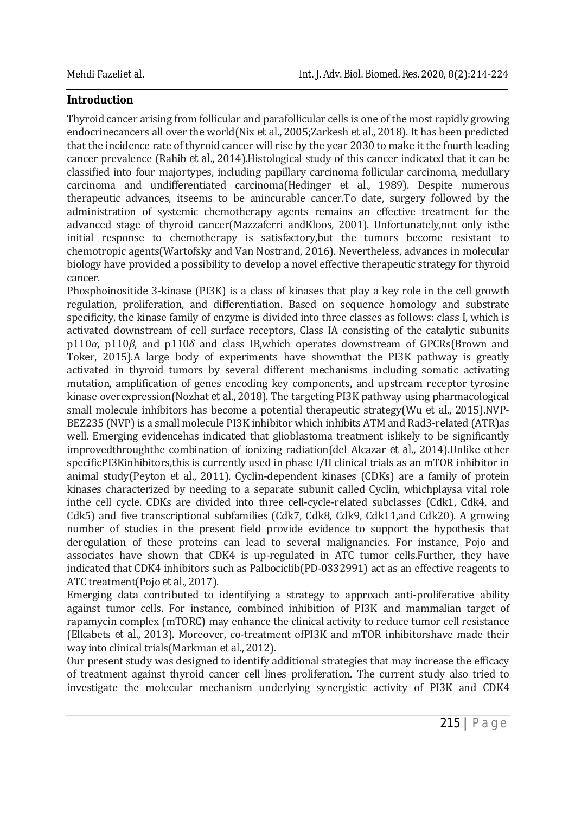# **Introduction**

Thyroid cancer arising from follicular and parafollicular cells is one of the most rapidly growing endocrinecancers all over the world(Nix *et al.,* 2005;Zarkesh *et al.,* 2018). It has been predicted that the incidence rate of thyroid cancer will rise by the year 2030 to make it the fourth leading cancer prevalence (Rahib *et al.,* 2014).Histological study of this cancer indicated that it can be classified into four majortypes, including papillary carcinoma follicular carcinoma, medullary carcinoma and undifferentiated carcinoma(Hedinger *et al.,* 1989). Despite numerous therapeutic advances, itseems to be anincurable cancer.To date, surgery followed by the administration of systemic chemotherapy agents remains an effective treatment for the advanced stage of thyroid cancer(Mazzaferri andKloos, 2001). Unfortunately,not only isthe initial response to chemotherapy is satisfactory,but the tumors become resistant to chemotropic agents(Wartofsky and Van Nostrand, 2016). Nevertheless, advances in molecular biology have provided a possibility to develop a novel effective therapeutic strategy for thyroid cancer.

Phosphoinositide 3-kinase (PI3K) is a class of kinases that play a key role in the cell growth regulation, proliferation, and differentiation. Based on sequence homology and substrate specificity, the kinase family of enzyme is divided into three classes as follows: class I, which is activated downstream of cell surface receptors, Class IA consisting of the catalytic subunits p110*α*, p110*β*, and p110*δ* and class IB,which operates downstream of GPCRs(Brown and Toker, 2015).A large body of experiments have shownthat the PI3K pathway is greatly activated in thyroid tumors by several different mechanisms including somatic activating mutation, amplification of genes encoding key components, and upstream receptor tyrosine kinase overexpression(Nozhat *et al.,* 2018). The targeting PI3K pathway using pharmacological small molecule inhibitors has become a potential therapeutic strategy(Wu *et al.,* 2015).NVP-BEZ235 (NVP) is a small molecule PI3K inhibitor which inhibits ATM and Rad3-related (ATR)as well. Emerging evidencehas indicated that glioblastoma treatment islikely to be significantly improvedthroughthe combination of ionizing radiation(del Alcazar *et al.,* 2014).Unlike other specificPI3Kinhibitors,this is currently used in phase I/II clinical trials as an mTOR inhibitor in animal study(Peyton *et al.,* 2011). Cyclin-dependent kinases (CDKs) are a family of protein kinases characterized by needing to a separate subunit called Cyclin, whichplaysa vital role inthe cell cycle. CDKs are divided into three cell-cycle-related subclasses (Cdk1, Cdk4, and Cdk5) and five transcriptional subfamilies (Cdk7, Cdk8, Cdk9, Cdk11,and Cdk20). A growing number of studies in the present field provide evidence to support the hypothesis that deregulation of these proteins can lead to several malignancies. For instance, Pojo and associates have shown that CDK4 is up-regulated in ATC tumor cells.Further, they have indicated that CDK4 inhibitors such as Palbociclib(PD-0332991) act as an effective reagents to ATC treatment(Pojo *et al.,* 2017).

Emerging data contributed to identifying a strategy to approach anti-proliferative ability against tumor cells. For instance, combined inhibition of PI3K and mammalian target of rapamycin complex (mTORC) may enhance the clinical activity to reduce tumor cell resistance (Elkabets *et al.,* 2013). Moreover, co-treatment ofPI3K and mTOR inhibitorshave made their way into clinical trials(Markman *et al.,* 2012).

Our present study was designed to identify additional strategies that may increase the efficacy of treatment against thyroid cancer cell lines proliferation. The current study also tried to investigate the molecular mechanism underlying synergistic activity of PI3K and CDK4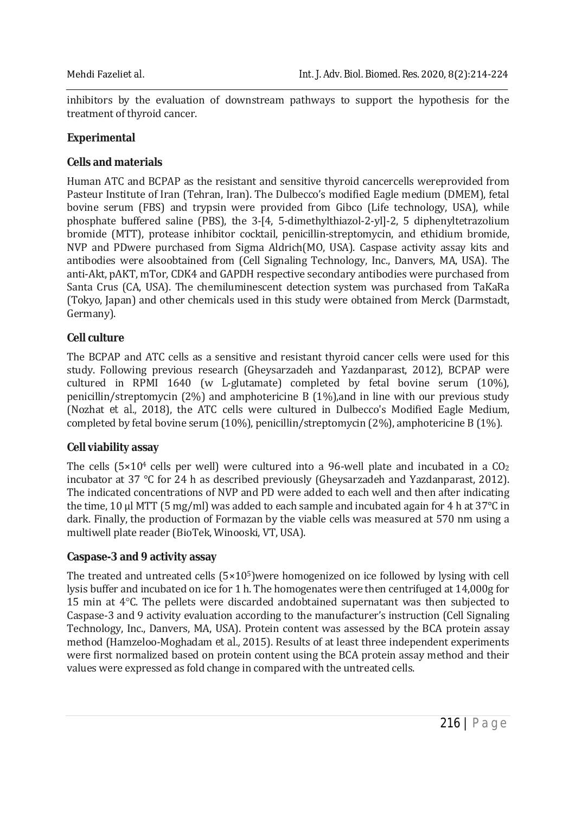inhibitors by the evaluation of downstream pathways to support the hypothesis for the treatment of thyroid cancer.

#### **Experimental**

## **Cells and materials**

Human ATC and BCPAP as the resistant and sensitive thyroid cancercells wereprovided from Pasteur Institute of Iran (Tehran, Iran). The Dulbecco's modified Eagle medium (DMEM), fetal bovine serum (FBS) and trypsin were provided from Gibco (Life technology, USA), while phosphate buffered saline (PBS), the 3-[4, 5-dimethylthiazol-2-yl]-2, 5 diphenyltetrazolium bromide (MTT), protease inhibitor cocktail, penicillin-streptomycin, and ethidium bromide, NVP and PDwere purchased from Sigma Aldrich(MO, USA). Caspase activity assay kits and antibodies were alsoobtained from (Cell Signaling Technology, Inc., Danvers, MA, USA). The anti-Akt, pAKT, mTor, CDK4 and GAPDH respective secondary antibodies were purchased from Santa Crus (CA, USA). The chemiluminescent detection system was purchased from TaKaRa (Tokyo, Japan) and other chemicals used in this study were obtained from Merck (Darmstadt, Germany).

## **Cell culture**

The BCPAP and ATC cells as a sensitive and resistant thyroid cancer cells were used for this study. Following previous research (Gheysarzadeh and Yazdanparast, 2012), BCPAP were cultured in RPMI 1640 (w *L*-glutamate) completed by fetal bovine serum (10%), penicillin/streptomycin (2%) and amphotericine B (1%),and in line with our previous study (Nozhat *et al.,* 2018), the ATC cells were cultured in Dulbecco's Modified Eagle Medium, completed by fetal bovine serum (10%), penicillin/streptomycin (2%), amphotericine B (1%).

#### **Cell viability assay**

The cells  $(5\times10^4$  cells per well) were cultured into a 96-well plate and incubated in a  $CO<sub>2</sub>$ incubator at 37 °C for 24 h as described previously (Gheysarzadeh and Yazdanparast, 2012). The indicated concentrations of NVP and PD were added to each well and then after indicating the time, 10 μl MTT (5 mg/ml) was added to each sample and incubated again for 4 h at 37°C in dark. Finally, the production of Formazan by the viable cells was measured at 570 nm using a multiwell plate reader (BioTek, Winooski, VT, USA).

#### **Caspase-3 and 9 activity assay**

The treated and untreated cells  $(5\times10^5)$ were homogenized on ice followed by lysing with cell lysis buffer and incubated on ice for 1 h. The homogenates were then centrifuged at 14,000g for 15 min at 4°C. The pellets were discarded andobtained supernatant was then subjected to Caspase-3 and 9 activity evaluation according to the manufacturer's instruction (Cell Signaling Technology, Inc., Danvers, MA, USA). Protein content was assessed by the BCA protein assay method (Hamzeloo-Moghadam *et al.,* 2015). Results of at least three independent experiments were first normalized based on protein content using the BCA protein assay method and their values were expressed as fold change in compared with the untreated cells.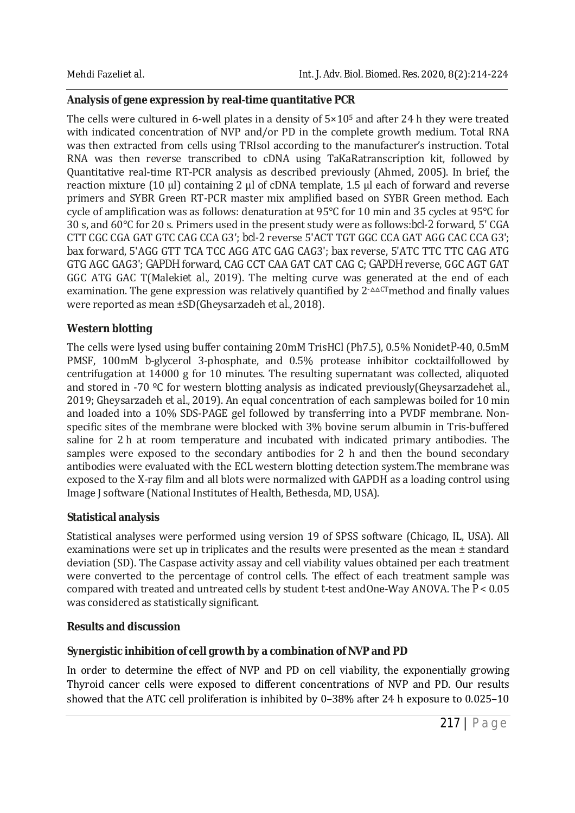# **Analysis of gene expression by real-time quantitative PCR**

The cells were cultured in 6-well plates in a density of  $5 \times 10^5$  and after 24 h they were treated with indicated concentration of NVP and/or PD in the complete growth medium. Total RNA was then extracted from cells using TRIsol according to the manufacturer's instruction. Total RNA was then reverse transcribed to cDNA using TaKaRatranscription kit, followed by Quantitative real-time RT-PCR analysis as described previously (Ahmed, 2005). In brief, the reaction mixture (10 μl) containing 2 μl of cDNA template, 1.5 μl each of forward and reverse primers and SYBR Green RT-PCR master mix amplified based on SYBR Green method. Each cycle of amplification was as follows: denaturation at 95°C for 10 min and 35 cycles at 95°C for 30 s, and 60°C for 20 s. Primers used in the present study were as follows:*bcl-2* forward, 5' CGA CTT CGC CGA GAT GTC CAG CCA G3'; *bcl-2* reverse 5'ACT TGT GGC CCA GAT AGG CAC CCA G3'; *bax* forward, 5'AGG GTT TCA TCC AGG ATC GAG CAG3'; *bax* reverse, 5'ATC TTC TTC CAG ATG GTG AGC GAG3'; *GAPDH* forward, CAG CCT CAA GAT CAT CAG C; *GAPDH* reverse, GGC AGT GAT GGC ATG GAC T(Maleki*et al.,* 2019). The melting curve was generated at the end of each examination. The gene expression was relatively quantified by  $2$ - $\triangle$ CTmethod and finally values were reported as mean ±SD(Gheysarzadeh *et al.,* 2018).

# **Western blotting**

The cells were lysed using buffer containing 20mM TrisHCl (Ph7.5), 0.5% Nonidet*P*-40, 0.5mM PMSF, 100mM *b*-glycerol 3-phosphate, and 0.5% protease inhibitor cocktailfollowed by centrifugation at 14000 g for 10 minutes. The resulting supernatant was collected, aliquoted and stored in -70 ºC for western blotting analysis as indicated previously(Gheysarzadeh*et al.,* 2019; Gheysarzadeh *et al.,* 2019). An equal concentration of each samplewas boiled for 10 min and loaded into a 10% SDS-PAGE gel followed by transferring into a PVDF membrane. Nonspecific sites of the membrane were blocked with 3% bovine serum albumin in Tris-buffered saline for 2 h at room temperature and incubated with indicated primary antibodies. The samples were exposed to the secondary antibodies for 2 h and then the bound secondary antibodies were evaluated with the ECL western blotting detection system.The membrane was exposed to the X-ray film and all blots were normalized with GAPDH as a loading control using Image J software (National Institutes of Health, Bethesda, MD, USA).

# **Statistical analysis**

Statistical analyses were performed using version 19 of SPSS software (Chicago, IL, USA). All examinations were set up in triplicates and the results were presented as the mean ± standard deviation (SD). The Caspase activity assay and cell viability values obtained per each treatment were converted to the percentage of control cells. The effect of each treatment sample was compared with treated and untreated cells by student *t*-test andOne-Way ANOVA. The *P* < 0.05 was considered as statistically significant.

## **Results and discussion**

# **Synergistic inhibition of cell growth by a combination of NVP and PD**

In order to determine the effect of NVP and PD on cell viability, the exponentially growing Thyroid cancer cells were exposed to different concentrations of NVP and PD. Our results showed that the ATC cell proliferation is inhibited by 0–38% after 24 h exposure to 0.025–10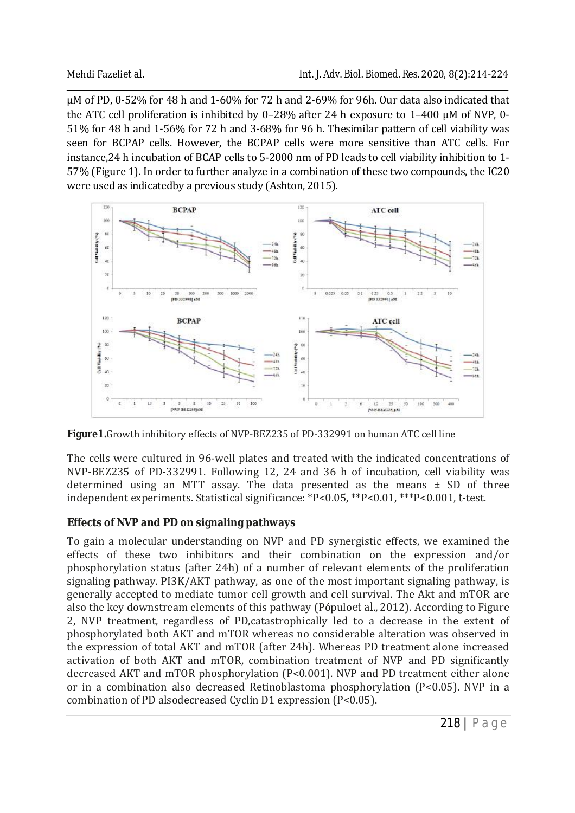μM of PD, 0-52% for 48 h and 1-60% for 72 h and 2-69% for 96h. Our data also indicated that μM of PD, 0-52% for 48 h and 1-60% for 72 h and 2-69% for 96h. Our data also indicated that<br>the ATC cell proliferation is inhibited by 0–28% after 24 h exposure to 1–400 μM of NVP, 0-51% for 48 h and 1-56% for 72 h and 3-68% for 96 h. Thesimilar pattern of cell viability was 51% for 48 h and 1-56% for 72 h and 3-68% for 96 h. Thesimilar pattern of cell viability was<br>seen for BCPAP cells. However, the BCPAP cells were more sensitive than ATC cells. For seen for BCPAP cells. However, the BCPAP cells were more sensitive than ATC cells. For<br>instance,24 h incubation of BCAP cells to 5-2000 nm of PD leads to cell viability inhibition to 1-57% (Figure 1). In order to further analyze in a combination of these two compounds, the IC20 were used as indicatedby a previous study (Ashton, 2015). were used as indicatedby a previous study (Ashton, 2015).



Figure 1. Growth inhibitory effects of NVP-BEZ235 of PD-332991 on human ATC cell line

The cells were cultured in 96-well plates and treated with the indicated concentrations of The cells were cultured in 96-well plates and treated with the indicated concentrations of NVP-BEZ235 of PD-332991. Following 12, 24 and 36 h of incubation, cell viability was NVP-BEZ235 of PD-332991. Following 12, 24 and 36 h of incubation, cell viability was<br>determined using an MTT assay. The data presented as the means ± SD of three independent experiments. Statistical significance: \*P<0.05, \*\*P<0.01, \*\*\*P<0.001, *t*-test.

## **Effects of NVP and PD on signaling pathways**

To gain a molecular understanding on NVP and PD synergistic effects, we examined the To gain a molecular understanding on NVP and PD synergistic effects, we examined the effects of these two inhibitors and their combination on the expression and/or phosphorylation status (after 24h) of a number of relevant elements of the proliferation signaling pathway. PI3K/AKT pathway, as one of the most important signaling pathway, is generally accepted to mediate tumor cell growth and cell survival. The Akt and mTOR are generally accepted to mediate tumor cell growth and cell survival. The Akt and mTOR are<br>also the key downstream elements of this pathway (Pópulo*et <mark>al.,</mark>* 2012). According to Figure 2, NVP treatment, regardless of PD,catastrophically led to a decrease in the extent of phosphorylated both AKT and mTOR whereas no considerable alteration was observed in 2, NVP treatment, regardless of PD,catastrophically led to a decrease in the extent of<br>phosphorylated both AKT and mTOR whereas no considerable alteration was observed in<br>the expression of total AKT and mTOR (after 24h). W activation of both AKT and mTOR, combination treatment of NVP and PD significantly decreased AKT and mTOR phosphorylation (P<0.001). NVP and PD treatment either alone or in a combination also decreased Retinoblastoma phosphorylation (P<0.05). NVP in a combination of PD alsodecreased Cyclin D1 expression (P<0.05). ects of these two inhibitors and their combination on the expression and/<br>osphorylation status (after 24h) of a number of relevant elements of the proliferationaling pathway. PI3K/AKT pathway, as one of the most important activation of both AKT and mTOR, combination treatment of NVP and PD significantly<br>decreased AKT and mTOR phosphorylation (P<0.001). NVP and PD treatment either alone<br>or in a combination also decreased Retinoblastoma phosp phosphorylation status (after 24h) of a also the key downstream elements of this pathway (Pópulo*et al.*, 2012).<br>2, NVP treatment, regardless of PD,catastrophically led to a decreas<br>phosphorylated both AKT and mTOR whereas no considerable alterati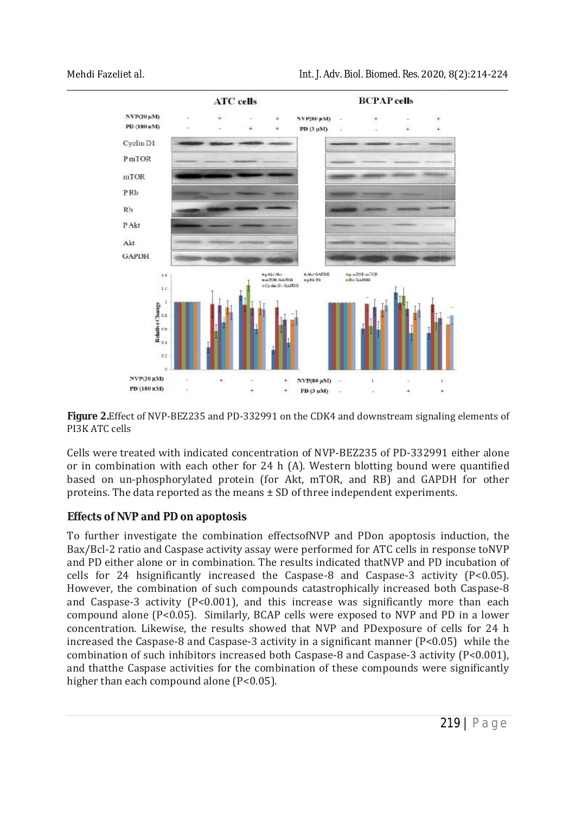

Figure 2. Effect of NVP-BEZ235 and PD-332991 on the CDK4 and downstream signaling elements of PI3K ATC cells

Cells were treated with indicated concentration of NVP-BEZ235 of PD-332991 either alone or in combination with each other for 24 h (A). Western blotting bound were quantified Cells were treated with indicated concentration of NVP-BEZ235 of PD-332991 either alone<br>or in combination with each other for 24 h (A). Western blotting bound were quantified<br>based on un-phosphorylated protein (for Ak proteins. The data reported as the means  $\pm$  SD of three independent experiments.

## **Effects of NVP and PD on apoptosis poptosis**

proteins. The data reported as the means ± SD of three independent experiments.<br>**Effects of NVP and PD on apoptosis**<br>To further investigate the combination effectsofNVP and PDon apoptosis induction, the To further investigate the combination effectsofNVP and PDon apoptosis induction, the Bax/Bcl-2 ratio and Caspase activity assay were performed for ATC cells in response toNVP and PD either alone or in combination. The results indicated thatNVP and PD incubation of cells for 24 hsignificantly increased the Caspase-8 and Caspase-3 activity (P<0.05). However, the combination of such compounds catastrophically increased both Caspase and Caspase-3 activity  $(P<0.001)$ , and this increase was significantly more than each and Caspase-3 activity (P<0.001), and this increase was significantly more than each compound alone (P<0.05). Similarly, BCAP cells were exposed to NVP and PD in a lower concentration. Likewise, the results showed that NVP and PDexposure of cells for 24 h increased the Caspase-8 and Caspase-3 activity in a significant manner  $(P< 0.05)$  while the increased the Caspase-8 and Caspase-3 activity in a significant manner  $(P<0.05)$  while the combination of such inhibitors increased both Caspase-8 and Caspase-3 activity (P<0.001), and thatthe Caspase activities for the combination of these compounds were significantly higher than each compound alone (P<0.05). (P<0.05). indicated that<br>NVP and PD incubation of se-8 and Caspase-3 activity (P<0.05).<br>tastrophically increased both Caspase-8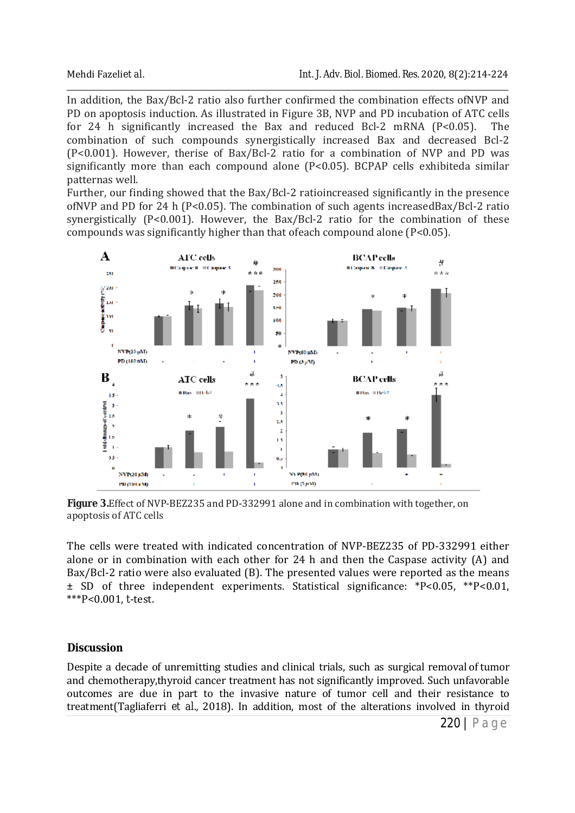In addition, the Bax/Bcl-2 ratio also further confirmed the combination effects ofNVP and PD on apoptosis induction. As illustrated in Figure 3B, NVP and PD incubation of ATC cells for 24 h significantly increased the Bax and reduced Bcl-2 mRNA (P<0.05). The for 24 h significantly increased the Bax and reduced Bcl-2 mRNA (P<0.05). The combination of such compounds synergistically increased Bax and decreased Bcl-2 (P<0.001). However, therise of Bax/Bcl-2 ratio for a combination of NVP and PD was (P<0.001). However, therise of Bax/Bcl-2 ratio for a combination of NVP and PD was significantly more than each compound alone (P<0.05). BCPAP cells exhibiteda similar patternas well.

Further, our finding showed that the Bax/Bcl-2 ratioincreased significantly in the presence of<br>NVP and PD for 24 h (P<0.05). The combination of such agents increasedBax/Bcl-2 ratio ofNVP and PD for 24 h (P<0.05). The combination of such agents increasedBax/Bcl synergistically (P<0.001). However, the Bax/Bcl-2 ratio for the combination of these compounds was significantly higher than that of each compound alone (P<0.05). compounds was significantly higher than that ofeach compound alone  $(P<0.05)$ .



Figure 3. Effect of NVP-BEZ235 and PD-332991 alone and in combination with together, on apoptosis of ATC cells

The cells were treated with indicated concentration of NVP-BEZ235 of PD-332991 either alone or in combination with each other for 24 h and then the Caspase activity (A) and Bax/Bcl-2 ratio were also evaluated (B). The presented values were reported as the means  $\pm$  SD of three independent experiments. Statistical significance: \*P<0.05, \*\*P<0.01, \*\*\*P<0.001, *t*-test. ± SD of three independent experiments. Statistical significance: \*P<0.05, \*\*P<0.01,<br>\*\*\*P<0.001, *t*-test.<br>**Discussion**<br>Despite a decade of unremitting studies and clinical trials, such as surgical removal of tumor in combination with each other for 24 h and then the Caspase activity (A) and 2 ratio were also evaluated (B). The presented values were reported as the means f three independent experiments. Statistical significance:  $*P$ The cells were treated with indicated concentration of NVP-BEZ235 of PD-332991<br>alone or in combination with each other for 24 h and then the Caspase activity (<br>Bax/Bcl-2 ratio were also evaluated (B). The presented values

## **Discussion**

and chemotherapy,thyroid cancer treatment has not significantly improved. Such unfavorable outcomes are due in part to the invasive nature of tumor cell and their resistance to outcomes are due in part to the invasive nature of tumor cell and their resistance to outcomes are due in part to the invasive nature of tumor cell and their resistance to<br>treatment(Tagliaferri *et al.*, 2018). In addition, most of the alterations involved in thyroid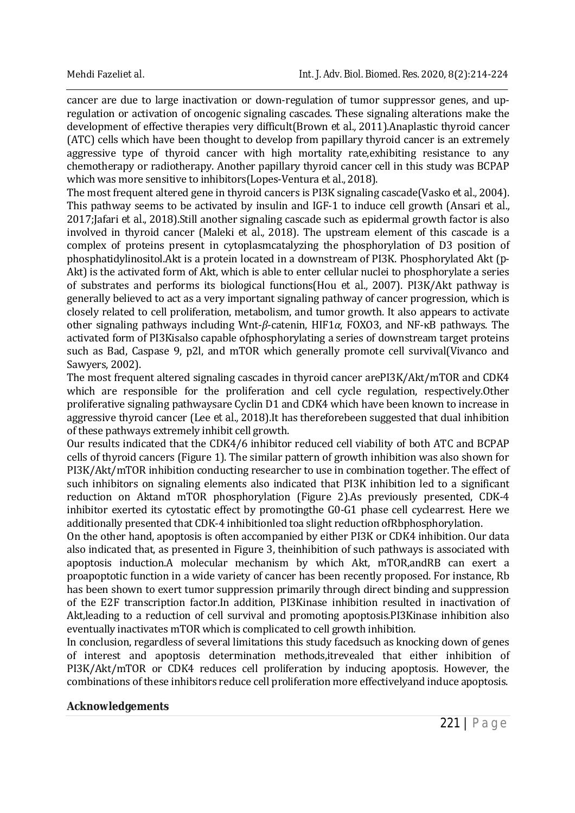cancer are due to large inactivation or down-regulation of tumor suppressor genes, and upregulation or activation of oncogenic signaling cascades. These signaling alterations make the development of effective therapies very difficult(Brown *et al.,* 2011).Anaplastic thyroid cancer (ATC) cells which have been thought to develop from papillary thyroid cancer is an extremely aggressive type of thyroid cancer with high mortality rate,exhibiting resistance to any chemotherapy or radiotherapy. Another papillary thyroid cancer cell in this study was BCPAP which was more sensitive to inhibitors(Lopes-Ventura *et al.,* 2018).

The most frequent altered gene in thyroid cancers is PI3K signaling cascade(Vasko *et al.,* 2004). This pathway seems to be activated by insulin and IGF-1 to induce cell growth (Ansari *et al.,* 2017;Jafari *et al.,* 2018).Still another signaling cascade such as epidermal growth factor is also involved in thyroid cancer (Maleki *et al.,* 2018). The upstream element of this cascade is a complex of proteins present in cytoplasmcatalyzing the phosphorylation of D3 position of phosphatidylinositol.Akt is a protein located in a downstream of PI3K. Phosphorylated Akt (*p*-Akt) is the activated form of Akt, which is able to enter cellular nuclei to phosphorylate a series of substrates and performs its biological functions(Hou *et al.,* 2007). PI3K/Akt pathway is generally believed to act as a very important signaling pathway of cancer progression, which is closely related to cell proliferation, metabolism, and tumor growth. It also appears to activate other signaling pathways including Wnt-*β*-catenin, HIF1*α*, FOXO3, and NF-κB pathways. The activated form of PI3Kisalso capable ofphosphorylating a series of downstream target proteins such as Bad, Caspase 9, p2l, and mTOR which generally promote cell survival(Vivanco and Sawyers, 2002).

The most frequent altered signaling cascades in thyroid cancer arePI3K/Akt/mTOR and CDK4 which are responsible for the proliferation and cell cycle regulation, respectively.Other proliferative signaling pathwaysare Cyclin D1 and CDK4 which have been known to increase in aggressive thyroid cancer (Lee *et al.,* 2018).It has thereforebeen suggested that dual inhibition of these pathways extremely inhibit cell growth.

Our results indicated that the CDK4/6 inhibitor reduced cell viability of both ATC and BCPAP cells of thyroid cancers (Figure 1). The similar pattern of growth inhibition was also shown for PI3K/Akt/mTOR inhibition conducting researcher to use in combination together. The effect of such inhibitors on signaling elements also indicated that PI3K inhibition led to a significant reduction on Aktand mTOR phosphorylation (Figure 2).As previously presented, CDK-4 inhibitor exerted its cytostatic effect by promotingthe G0-G1 phase cell cyclearrest. Here we additionally presented that CDK-4 inhibitionled toa slight reduction ofRbphosphorylation.

On the other hand, apoptosis is often accompanied by either PI3K or CDK4 inhibition. Our data also indicated that, as presented in Figure 3, theinhibition of such pathways is associated with apoptosis induction.A molecular mechanism by which Akt, mTOR,andRB can exert a proapoptotic function in a wide variety of cancer has been recently proposed. For instance, Rb has been shown to exert tumor suppression primarily through direct binding and suppression of the E2F transcription factor.In addition, PI3Kinase inhibition resulted in inactivation of Akt,leading to a reduction of cell survival and promoting apoptosis.PI3Kinase inhibition also eventually inactivates mTOR which is complicated to cell growth inhibition.

In conclusion, regardless of several limitations this study facedsuch as knocking down of genes of interest and apoptosis determination methods,itrevealed that either inhibition of PI3K/Akt/mTOR or CDK4 reduces cell proliferation by inducing apoptosis. However, the combinations of these inhibitors reduce cell proliferation more effectivelyand induce apoptosis.

#### **Acknowledgements**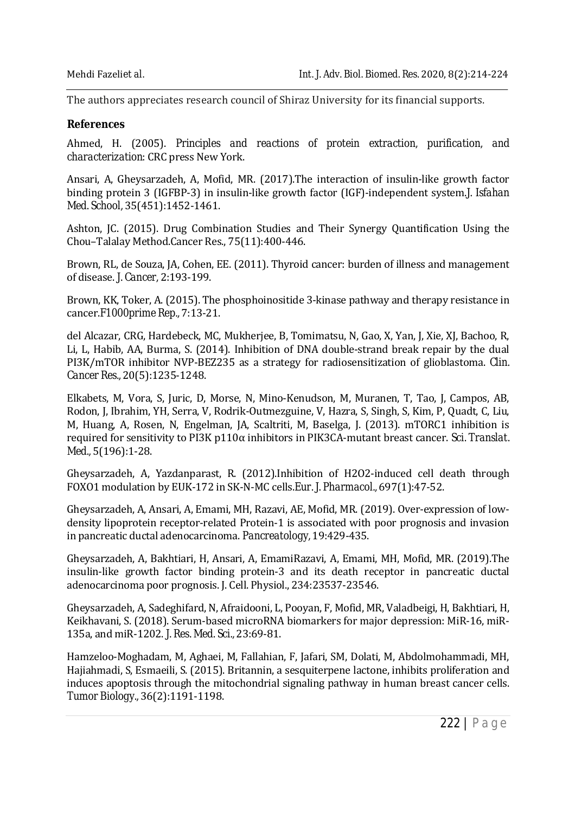The authors appreciates research council of Shiraz University for its financial supports.

#### **References**

Ahmed, H. (2005). *Principles and reactions of protein extraction, purification, and characterization*: CRC press New York.

Ansari, A, Gheysarzadeh, A, Mofid, MR. (2017).The interaction of insulin-like growth factor binding protein 3 (IGFBP-3) in insulin-like growth factor (IGF)-independent system.*J. Isfahan Med. School,* 35(451):1452-1461.

Ashton, JC. (2015). Drug Combination Studies and Their Synergy Quantification Using the Chou–Talalay Method.Cancer Res., 75(11):400-446.

Brown, RL, de Souza, JA, Cohen, EE. (2011). Thyroid cancer: burden of illness and management of disease. *J. Cancer,* 2:193-199.

Brown, KK, Toker, A. (2015). The phosphoinositide 3-kinase pathway and therapy resistance in cancer.*F1000prime Rep.,* 7:13-21.

del Alcazar, CRG, Hardebeck, MC, Mukherjee, B, Tomimatsu, N, Gao, X, Yan, J, Xie, XJ, Bachoo, R, Li, L, Habib, AA, Burma, S. (2014). Inhibition of DNA double-strand break repair by the dual PI3K/mTOR inhibitor NVP-BEZ235 as a strategy for radiosensitization of glioblastoma. *Clin. Cancer Res.,* 20(5):1235-1248.

Elkabets, M, Vora, S, Juric, D, Morse, N, Mino-Kenudson, M, Muranen, T, Tao, J, Campos, AB, Rodon, J, Ibrahim, YH, Serra, V, Rodrik-Outmezguine, V, Hazra, S, Singh, S, Kim, P, Quadt, C, Liu, M, Huang, A, Rosen, N, Engelman, JA, Scaltriti, M, Baselga, J. (2013). mTORC1 inhibition is required for sensitivity to PI3K p110α inhibitors in PIK3CA-mutant breast cancer. *Sci. Translat. Med.,* 5(196):1-28.

Gheysarzadeh, A, Yazdanparast, R. (2012).Inhibition of H2O2-induced cell death through FOXO1 modulation by EUK-172 in SK-N-MC cells.*Eur. J. Pharmacol.,* 697(1):47-52.

Gheysarzadeh, A, Ansari, A, Emami, MH, Razavi, AE, Mofid, MR. (2019). Over-expression of lowdensity lipoprotein receptor-related Protein-1 is associated with poor prognosis and invasion in pancreatic ductal adenocarcinoma. *Pancreatology,* 19:429-435.

Gheysarzadeh, A, Bakhtiari, H, Ansari, A, EmamiRazavi, A, Emami, MH, Mofid, MR. (2019).The insulin‐like growth factor binding protein‐3 and its death receptor in pancreatic ductal adenocarcinoma poor prognosis. J. Cell. Physiol., 234:23537-23546.

Gheysarzadeh, A, Sadeghifard, N, Afraidooni, L, Pooyan, F, Mofid, MR, Valadbeigi, H, Bakhtiari, H, Keikhavani, S. (2018). Serum-based microRNA biomarkers for major depression: MiR-16, miR-135a, and miR-1202. *J. Res. Med. Sci.,* 23:69-81.

Hamzeloo-Moghadam, M, Aghaei, M, Fallahian, F, Jafari, SM, Dolati, M, Abdolmohammadi, MH, Hajiahmadi, S, Esmaeili, S. (2015). Britannin, a sesquiterpene lactone, inhibits proliferation and induces apoptosis through the mitochondrial signaling pathway in human breast cancer cells. *Tumor Biology.,* 36(2):1191-1198.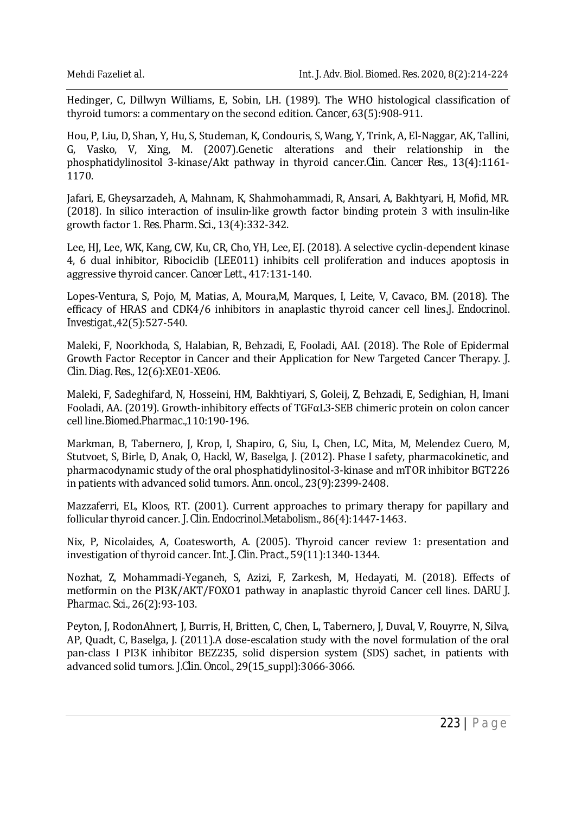Hedinger, C, Dillwyn Williams, E, Sobin, LH. (1989). The WHO histological classification of thyroid tumors: a commentary on the second edition. *Cancer,* 63(5):908-911.

Hou, P, Liu, D, Shan, Y, Hu, S, Studeman, K, Condouris, S, Wang, Y, Trink, A, El-Naggar, AK, Tallini, G, Vasko, V, Xing, M. (2007).Genetic alterations and their relationship in the phosphatidylinositol 3-kinase/Akt pathway in thyroid cancer.*Clin. Cancer Res.,* 13(4):1161- 1170.

Jafari, E, Gheysarzadeh, A, Mahnam, K, Shahmohammadi, R, Ansari, A, Bakhtyari, H, Mofid, MR. (2018). In silico interaction of insulin-like growth factor binding protein 3 with insulin-like growth factor 1. *Res. Pharm. Sci.,* 13(4):332-342.

Lee, HJ, Lee, WK, Kang, CW, Ku, CR, Cho, YH, Lee, EJ. (2018). A selective cyclin-dependent kinase 4, 6 dual inhibitor, Ribociclib (LEE011) inhibits cell proliferation and induces apoptosis in aggressive thyroid cancer. *Cancer Lett.,* 417:131-140.

Lopes-Ventura, S, Pojo, M, Matias, A, Moura,M, Marques, I, Leite, V, Cavaco, BM. (2018). The efficacy of HRAS and CDK4/6 inhibitors in anaplastic thyroid cancer cell lines.*J. Endocrinol. Investigat.,*42(5):527-540.

Maleki, F, Noorkhoda, S, Halabian, R, Behzadi, E, Fooladi, AAI. (2018). The Role of Epidermal Growth Factor Receptor in Cancer and their Application for New Targeted Cancer Therapy. *J. Clin. Diag. Res., 1*2(6):XE01-XE06.

Maleki, F, Sadeghifard, N, Hosseini, HM, Bakhtiyari, S, Goleij, Z, Behzadi, E, Sedighian, H, Imani Fooladi, AA. (2019). Growth-inhibitory effects of TGFαL3-SEB chimeric protein on colon cancer cell line.*Biomed.Pharmac.,*110:190-196.

Markman, B, Tabernero, J, Krop, I, Shapiro, G, Siu, L, Chen, LC, Mita, M, Melendez Cuero, M, Stutvoet, S, Birle, D, Anak, O, Hackl, W, Baselga, J. (2012). Phase I safety, pharmacokinetic, and pharmacodynamic study of the oral phosphatidylinositol-3-kinase and mTOR inhibitor BGT226 in patients with advanced solid tumors. *Ann. oncol.,* 23(9):2399-2408.

Mazzaferri, EL, Kloos, RT. (2001). Current approaches to primary therapy for papillary and follicular thyroid cancer. *J. Clin. Endocrinol.Metabolism.,* 86(4):1447-1463.

Nix, P, Nicolaides, A, Coatesworth, A. (2005). Thyroid cancer review 1: presentation and investigation of thyroid cancer. *Int. J. Clin. Pract.,* 59(11):1340-1344.

Nozhat, Z, Mohammadi-Yeganeh, S, Azizi, F, Zarkesh, M, Hedayati, M. (2018). Effects of metformin on the PI3K/AKT/FOXO1 pathway in anaplastic thyroid Cancer cell lines. *DARU J. Pharmac. Sci.,* 26(2):93-103.

Peyton, J, RodonAhnert, J, Burris, H, Britten, C, Chen, L, Tabernero, J, Duval, V, Rouyrre, N, Silva, AP, Quadt, C, Baselga, J. (2011).A dose-escalation study with the novel formulation of the oral pan-class I PI3K inhibitor BEZ235, solid dispersion system (SDS) sachet, in patients with advanced solid tumors. *J.Clin. Oncol.,* 29(15\_suppl):3066-3066.